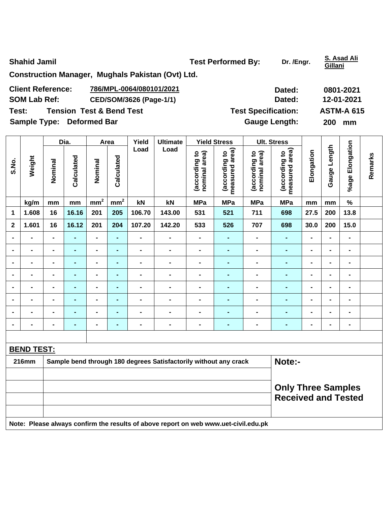**Shahid Jamil Community Community Community Community Community Community Community Community Community Community Community Community Community Community Community Community Community Community Community Community Communit** 

**Gillani**

**Construction Manager, Mughals Pakistan (Ovt) Ltd.** 

| <b>Client Reference:</b>                     | 786/MPL-0064/080101/2021 | Dated:                     | 0801-2021         |
|----------------------------------------------|--------------------------|----------------------------|-------------------|
| <b>SOM Lab Ref:</b>                          | CED/SOM/3626 (Page-1/1)  | Dated:                     | 12-01-2021        |
| Test:<br><b>Tension Test &amp; Bend Test</b> |                          | <b>Test Specification:</b> | <b>ASTM-A 615</b> |
| <b>Sample Type: Deformed Bar</b>             |                          | <b>Gauge Length:</b>       | <b>200</b><br>mm  |

|                         |                   |                | Dia.           | Area            |                 | Yield          | <b>Ultimate</b> |                                | <b>Yield Stress</b>             |                                | <b>Ult. Stress</b>                 |                |                 |                    |         |
|-------------------------|-------------------|----------------|----------------|-----------------|-----------------|----------------|-----------------|--------------------------------|---------------------------------|--------------------------------|------------------------------------|----------------|-----------------|--------------------|---------|
| S.No.                   | Weight            | Nominal        | Calculated     | Nominal         | Calculated      | Load           | Load            | nominal area)<br>(according to | measured area)<br>(according to | nominal area)<br>(according to | area)<br>(according to<br>measured | Elongation     | Length<br>Gauge | Elongation<br>%age | Remarks |
|                         | kg/m              | mm             | mm             | mm <sup>2</sup> | mm <sup>2</sup> | kN             | kN              | <b>MPa</b>                     | <b>MPa</b>                      | <b>MPa</b>                     | <b>MPa</b>                         | mm             | mm              | $\%$               |         |
| 1                       | 1.608             | 16             | 16.16          | 201             | 205             | 106.70         | 143.00          | 531                            | 521                             | 711                            | 698                                | 27.5           | 200             | 13.8               |         |
| $\overline{\mathbf{2}}$ | 1.601             | 16             | 16.12          | 201             | 204             | 107.20         | 142.20          | 533                            | 526                             | 707                            | 698                                | 30.0           | 200             | 15.0               |         |
| $\blacksquare$          | $\blacksquare$    | $\blacksquare$ |                | $\blacksquare$  | $\blacksquare$  | $\blacksquare$ | $\blacksquare$  |                                | ۰                               | $\blacksquare$                 | $\blacksquare$                     | $\blacksquare$ | -               | $\blacksquare$     |         |
| $\blacksquare$          | Ξ.                | $\blacksquare$ | $\blacksquare$ | $\blacksquare$  | $\blacksquare$  | $\blacksquare$ | $\blacksquare$  | $\blacksquare$                 | ٠                               | $\blacksquare$                 | $\blacksquare$                     | $\blacksquare$ | $\blacksquare$  | $\blacksquare$     |         |
| $\blacksquare$          |                   | $\blacksquare$ | $\blacksquare$ | $\blacksquare$  | ٠               | $\blacksquare$ | -               | $\blacksquare$                 | ٠                               | $\blacksquare$                 | $\blacksquare$                     | $\blacksquare$ | $\blacksquare$  | $\blacksquare$     |         |
| $\blacksquare$          | $\blacksquare$    | $\blacksquare$ | $\blacksquare$ | $\blacksquare$  | $\blacksquare$  | $\blacksquare$ | $\blacksquare$  | $\blacksquare$                 | $\blacksquare$                  | ۰                              | $\blacksquare$                     | $\blacksquare$ | $\blacksquare$  | $\blacksquare$     |         |
| $\blacksquare$          | $\blacksquare$    | $\blacksquare$ |                | $\blacksquare$  | ٠               | $\blacksquare$ | $\blacksquare$  | -                              | ۰                               |                                |                                    | $\blacksquare$ | $\blacksquare$  | $\blacksquare$     |         |
| $\blacksquare$          | ۰                 | $\blacksquare$ | $\blacksquare$ | $\blacksquare$  | ٠               | $\blacksquare$ | $\blacksquare$  | $\blacksquare$                 | ٠                               | $\blacksquare$                 | $\blacksquare$                     | $\blacksquare$ | $\blacksquare$  | $\blacksquare$     |         |
| $\blacksquare$          | Ξ.                | $\blacksquare$ | $\blacksquare$ | $\blacksquare$  | ٠               | $\blacksquare$ | $\blacksquare$  | $\blacksquare$                 | ٠                               | $\blacksquare$                 | $\blacksquare$                     | $\blacksquare$ | $\blacksquare$  | $\blacksquare$     |         |
|                         | $\blacksquare$    | $\blacksquare$ | $\blacksquare$ | $\blacksquare$  | ٠               | $\blacksquare$ | $\blacksquare$  | $\blacksquare$                 | ۰                               | $\blacksquare$                 | $\blacksquare$                     | $\blacksquare$ | ۰               | $\blacksquare$     |         |
|                         |                   |                |                |                 |                 |                |                 |                                |                                 |                                |                                    |                |                 |                    |         |
|                         | <b>BEND TEST:</b> |                |                |                 |                 |                |                 |                                |                                 |                                |                                    |                |                 |                    |         |

| 216mm | Sample bend through 180 degrees Satisfactorily without any crack                    | Note:-                     |  |  |  |  |  |  |  |  |  |
|-------|-------------------------------------------------------------------------------------|----------------------------|--|--|--|--|--|--|--|--|--|
|       |                                                                                     |                            |  |  |  |  |  |  |  |  |  |
|       |                                                                                     | <b>Only Three Samples</b>  |  |  |  |  |  |  |  |  |  |
|       |                                                                                     | <b>Received and Tested</b> |  |  |  |  |  |  |  |  |  |
|       |                                                                                     |                            |  |  |  |  |  |  |  |  |  |
|       | Note: Please always confirm the results of above report on web www.uet-civil.edu.pk |                            |  |  |  |  |  |  |  |  |  |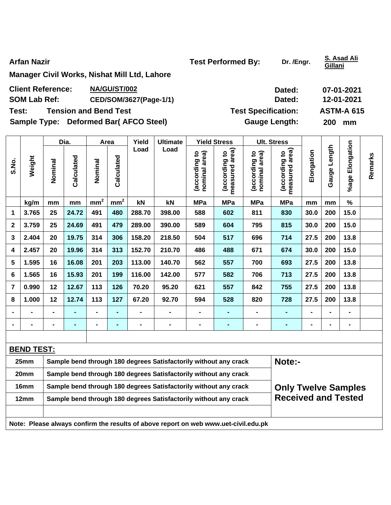**Arfan Nazir Conserverse Exercise 2 and Test Performed By:** Dr. /Engr. **S. Asad Ali 2** 

**Gillani**

**Manager Civil Works, Nishat Mill Ltd, Lahore** 

| <b>Client Reference:</b> | NA/GU/ST/002 | Dated: | 07-01-2021 |
|--------------------------|--------------|--------|------------|
|                          |              |        |            |

SOM Lab Ref: CED/SOM/3627(Page-1/1) Dated: 12-01-2021

Sample Type: Deformed Bar( AFCO Steel) **Gauge Length:** 200 mm

|                |                                                                          |                | Dia.           |                 | Area            | Yield  | <b>Ultimate</b> |                                | <b>Yield Stress</b>             |                                | <b>Ult. Stress</b>                 |                |                 |                 |         |
|----------------|--------------------------------------------------------------------------|----------------|----------------|-----------------|-----------------|--------|-----------------|--------------------------------|---------------------------------|--------------------------------|------------------------------------|----------------|-----------------|-----------------|---------|
| S.No.          | Weight                                                                   | Nominal        | Calculated     | Nominal         | Calculated      | Load   | Load            | nominal area)<br>(according to | measured area)<br>(according to | nominal area)<br>(according to | area)<br>(according to<br>measured | Elongation     | Length<br>Gauge | %age Elongation | Remarks |
|                | kg/m                                                                     | mm             | mm             | mm <sup>2</sup> | mm <sup>2</sup> | kN     | kN              | <b>MPa</b>                     | <b>MPa</b>                      | <b>MPa</b>                     | <b>MPa</b>                         | mm             | mm              | $\%$            |         |
| $\mathbf 1$    | 3.765                                                                    | 25             | 24.72          | 491             | 480             | 288.70 | 398.00          | 588                            | 602                             | 811                            | 830                                | 30.0           | 200             | 15.0            |         |
| 2              | 3.759                                                                    | 25             | 24.69          | 491             | 479             | 289.00 | 390.00          | 589                            | 604                             | 795                            | 815                                | 30.0           | 200             | 15.0            |         |
| 3              | 2.404                                                                    | 20             | 19.75          | 314             | 306             | 158.20 | 218.50          | 504                            | 517                             | 696                            | 714                                | 27.5           | 200             | 13.8            |         |
| 4              | 2.457                                                                    | 20             | 19.96          | 314             | 313             | 152.70 | 210.70          | 486                            | 488                             | 671                            | 674                                | 30.0           | 200             | 15.0            |         |
| 5              | 1.595                                                                    | 16             | 16.08          | 201             | 203             | 113.00 | 140.70          | 562                            | 557                             | 700                            | 693                                | 27.5           | 200             | 13.8            |         |
| 6              | 1.565                                                                    | 16             | 15.93          | 201             | 199             | 116.00 | 142.00          | 577                            | 582                             | 706                            | 713                                | 27.5           | 200             | 13.8            |         |
| $\overline{7}$ | 0.990                                                                    | 12             | 12.67          | 113             | 126             | 70.20  | 95.20           | 621                            | 557                             | 842                            | 755                                | 27.5           | 200             | 13.8            |         |
| 8              | 1.000                                                                    | 12             | 12.74          | 113             | 127             | 67.20  | 92.70           | 594                            | 528                             | 820                            | 728                                | 27.5           | 200             | 13.8            |         |
| $\blacksquare$ |                                                                          | $\blacksquare$ | $\blacksquare$ | $\blacksquare$  | $\blacksquare$  |        |                 | $\blacksquare$                 | ٠                               | $\blacksquare$                 | ٠                                  |                | $\blacksquare$  | $\blacksquare$  |         |
| $\blacksquare$ |                                                                          | $\blacksquare$ | $\blacksquare$ | $\blacksquare$  | $\blacksquare$  |        | $\blacksquare$  | $\blacksquare$                 | ٠                               | $\blacksquare$                 | ٠                                  | $\blacksquare$ | $\blacksquare$  | $\blacksquare$  |         |
|                |                                                                          |                |                |                 |                 |        |                 |                                |                                 |                                |                                    |                |                 |                 |         |
|                | <b>BEND TEST:</b>                                                        |                |                |                 |                 |        |                 |                                |                                 |                                |                                    |                |                 |                 |         |
|                | 25mm<br>Sample bend through 180 degrees Satisfactorily without any crack |                |                |                 |                 |        |                 |                                |                                 | Note:-                         |                                    |                |                 |                 |         |

| 20 <sub>mm</sub> | Sample bend through 180 degrees Satisfactorily without any crack                    |                            |
|------------------|-------------------------------------------------------------------------------------|----------------------------|
| 16mm             | Sample bend through 180 degrees Satisfactorily without any crack                    | <b>Only Twelve Samples</b> |
| 12 <sub>mm</sub> | Sample bend through 180 degrees Satisfactorily without any crack                    | <b>Received and Tested</b> |
|                  |                                                                                     |                            |
|                  | Note: Please always confirm the results of above report on web www.uet-civil.edu.pk |                            |

**Test: Tension and Bend Test Test Specification: ASTM-A 615**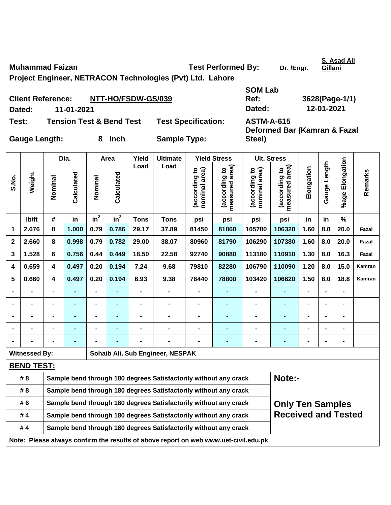**Muhammad Faizan Construction Construction Test Performed By:** Dr. /Engr.

**Gillani**

**Project Engineer, NETRACON Technologies (Pvt) Ltd. Lahore** 

| <b>Client Reference:</b> |            | NTT-HO/FSDW-GS/039                  |                            | Ref:              | 3628(Page-1               |
|--------------------------|------------|-------------------------------------|----------------------------|-------------------|---------------------------|
| Dated:                   | 11-01-2021 |                                     |                            | Dated:            | 12-01-2021                |
| Test:                    |            | <b>Tension Test &amp; Bend Test</b> | <b>Test Specification:</b> | <b>ASTM-A-615</b> | Deformed Bar (Kamran & Fa |

Gauge Length: 8 inch Sample Type:

**SOM Lab Ref: 3628(Page-1/1)** 

**Deformed Bar (Kamran & Fazal Steel)** 

|                |                                                                                     | Dia.           |                | Area            | Yield           | <b>Ultimate</b> |                                                                  | <b>Yield Stress</b>            |                                 | <b>Ult. Stress</b>             |                                                         |                |                |                 |         |
|----------------|-------------------------------------------------------------------------------------|----------------|----------------|-----------------|-----------------|-----------------|------------------------------------------------------------------|--------------------------------|---------------------------------|--------------------------------|---------------------------------------------------------|----------------|----------------|-----------------|---------|
| S.No.          | Weight                                                                              | Nominal        | Calculated     | Nominal         | Calculated      | Load            | Load                                                             | nominal area)<br>(according to | measured area)<br>(according to | nominal area)<br>(according to | measured area)<br>$\overline{\mathbf{c}}$<br>(according | Elongation     | Gauge Length   | %age Elongation | Remarks |
|                | lb/ft                                                                               | $\#$           | in             | in <sup>2</sup> | in <sup>2</sup> | <b>Tons</b>     | <b>Tons</b>                                                      | psi                            | psi                             | psi                            | psi                                                     | in             | in             | $\frac{9}{6}$   |         |
| 1              | 2.676                                                                               | 8              | 1.000          | 0.79            | 0.786           | 29.17           | 37.89                                                            | 81450                          | 81860                           | 105780                         | 106320                                                  | 1.60           | 8.0            | 20.0            | Fazal   |
| $\mathbf 2$    | 2.660                                                                               | 8              | 0.998          | 0.79            | 0.782           | 29.00           | 38.07                                                            | 80960                          | 81790                           | 106290                         | 107380                                                  | 1.60           | 8.0            | 20.0            | Fazal   |
| 3              | 1.528                                                                               | 6              | 0.756          | 0.44            | 0.449           | 18.50           | 22.58                                                            | 92740                          | 90880                           | 113180                         | 110910                                                  | 1.30           | 8.0            | 16.3            | Fazal   |
| 4              | 0.659                                                                               | 4              | 0.497          | 0.20            | 0.194           | 7.24            | 9.68                                                             | 79810                          | 82280                           | 106790                         | 110090                                                  | 1.20           | 8.0            | 15.0            | Kamran  |
| 5              | 0.660                                                                               | 4              | 0.497          | 0.20            | 0.194           | 6.93            | 9.38                                                             | 76440                          | 78800                           | 103420                         | 106620                                                  | 1.50           | 8.0            | 18.8            | Kamran  |
| $\blacksquare$ |                                                                                     | $\blacksquare$ | ٠              | $\blacksquare$  | ÷               | $\blacksquare$  |                                                                  |                                | $\blacksquare$                  | $\blacksquare$                 | $\blacksquare$                                          | $\blacksquare$ | $\blacksquare$ |                 |         |
| $\blacksquare$ |                                                                                     | $\blacksquare$ | ۰              | $\blacksquare$  | $\blacksquare$  | $\blacksquare$  | $\blacksquare$                                                   | $\blacksquare$                 | $\blacksquare$                  | $\blacksquare$                 | $\blacksquare$                                          | $\blacksquare$ | $\blacksquare$ | $\blacksquare$  |         |
| $\blacksquare$ | $\blacksquare$                                                                      | $\blacksquare$ | $\blacksquare$ | $\blacksquare$  | $\blacksquare$  | $\blacksquare$  | $\blacksquare$                                                   | $\blacksquare$                 | $\blacksquare$                  | $\blacksquare$                 | $\blacksquare$                                          | $\blacksquare$ | $\blacksquare$ | $\blacksquare$  |         |
| $\blacksquare$ |                                                                                     | $\blacksquare$ | $\blacksquare$ | $\blacksquare$  | $\blacksquare$  | $\blacksquare$  | $\blacksquare$                                                   | $\blacksquare$                 | $\blacksquare$                  | $\blacksquare$                 |                                                         | $\blacksquare$ | $\blacksquare$ | $\blacksquare$  |         |
|                |                                                                                     |                | $\blacksquare$ | $\blacksquare$  |                 |                 | $\blacksquare$                                                   | $\blacksquare$                 | $\blacksquare$                  | $\blacksquare$                 | $\blacksquare$                                          | $\blacksquare$ | $\blacksquare$ | $\blacksquare$  |         |
|                | <b>Witnessed By:</b>                                                                |                |                |                 |                 |                 | Sohaib Ali, Sub Engineer, NESPAK                                 |                                |                                 |                                |                                                         |                |                |                 |         |
|                | <b>BEND TEST:</b>                                                                   |                |                |                 |                 |                 |                                                                  |                                |                                 |                                |                                                         |                |                |                 |         |
|                | # 8                                                                                 |                |                |                 |                 |                 | Sample bend through 180 degrees Satisfactorily without any crack |                                |                                 |                                | Note:-                                                  |                |                |                 |         |
|                | # 8                                                                                 |                |                |                 |                 |                 | Sample bend through 180 degrees Satisfactorily without any crack |                                |                                 |                                |                                                         |                |                |                 |         |
|                | # 6                                                                                 |                |                |                 |                 |                 | Sample bend through 180 degrees Satisfactorily without any crack |                                |                                 |                                | <b>Only Ten Samples</b>                                 |                |                |                 |         |
|                | #4                                                                                  |                |                |                 |                 |                 | Sample bend through 180 degrees Satisfactorily without any crack |                                |                                 |                                | <b>Received and Tested</b>                              |                |                |                 |         |
|                | #4                                                                                  |                |                |                 |                 |                 | Sample bend through 180 degrees Satisfactorily without any crack |                                |                                 |                                |                                                         |                |                |                 |         |
|                | Note: Please always confirm the results of above report on web www.uet-civil.edu.pk |                |                |                 |                 |                 |                                                                  |                                |                                 |                                |                                                         |                |                |                 |         |

**S. Asad Ali**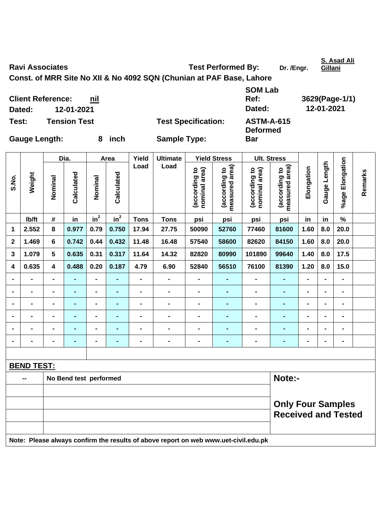Ravi Associates **Test Performed By:** Dr. /Engr.

**S. Asad Ali** 

**Remarks** 

Remarks

**Const. of MRR Site No XII & No 4092 SQN (Chunian at PAF Base, Lahore** 

**Client Reference: nil Dated: 12-01-2021 Dated: 12-01-2021 Test: Tension Test Test Specification: ASTM-A-615** 

**Deformed** 

Dia. | Area | Yield | Ultimate | Yield Stress | Ult. Stress **%age Elongation**  %age Elongation **Gauge Length Load Load**  (according to<br>measured area) Gauge Length **measured area) measured area)**  (according to<br>nominal area) (according to<br>nominal area) (according to<br>measured area) **Elongation nominal area) nominal area) (according to (according to (according to (according to**  Elongation **Weight Calculated Calculated**  Calculated Calculated **Nominal Nominal**  Nominal Nominal  $\mathsf{lb}/\mathsf{ft}$  # in in<sup>2</sup>  $in^2$  **Tons Tons psi psi psi psi in in % 1 2.552 8 0.977 0.79 0.750 17.94 27.75 50090 52760 77460 81600 1.60 8.0 20.0 2 1.469 6 0.742 0.44 0.432 11.48 16.48 57540 58600 82620 84150 1.60 8.0 20.0 3 1.079 5 0.635 0.31 0.317 11.64 14.32 82820 80990 101890 99640 1.40 8.0 17.5 4 0.635 4 0.488 0.20 0.187 4.79 6.90 52840 56510 76100 81390 1.20 8.0 15.0 - - - - - - - - - - - - - - - - - - - - - - - - - - - - - - - - - - - - - - - - - - - - - - - - - - - - - - - - - - - - - - - - - - - - - - - - - - - - - - - - - - - - - - - - - - BEND TEST: --** No Bend test performed Note:-

## **Only Four Samples Received and Tested**

**Note: Please always confirm the results of above report on web www.uet-civil.edu.pk** 

**S.No.** 

**Gauge Length: 8 inch Sample Type:** 

**Bar** 

**SOM Lab** 

**Ref: 3629(Page-1/1)** 

**Gillani**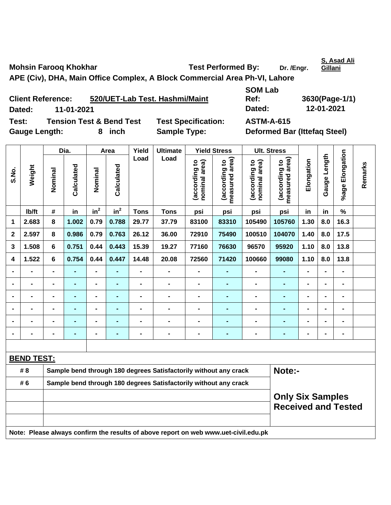Mohsin Farooq Khokhar **Test Performed By:** Dr. /Engr.

**APE (Civ), DHA, Main Office Complex, A Block Commercial Area Ph-VI, Lahore** 

| <b>Client Reference:</b> |                                     |      | 520/UET-Lab Test. Hashmi/Maint | <b>SOM Lab</b><br>Ref:              | 3630(Page-1/1) |
|--------------------------|-------------------------------------|------|--------------------------------|-------------------------------------|----------------|
| Dated:                   | 11-01-2021                          |      |                                | Dated:                              | 12-01-2021     |
| Test:                    | <b>Tension Test &amp; Bend Test</b> |      | <b>Test Specification:</b>     | <b>ASTM-A-615</b>                   |                |
| <b>Gauge Length:</b>     |                                     | inch | <b>Sample Type:</b>            | <b>Deformed Bar (Ittefag Steel)</b> |                |

|                |                   |                | Dia.           |                 | Area            | Yield                                                            | <b>Ultimate</b>                                                                     |                                | <b>Yield Stress</b>                | <b>Ult. Stress</b>             |                                 |                |                |                 |         |
|----------------|-------------------|----------------|----------------|-----------------|-----------------|------------------------------------------------------------------|-------------------------------------------------------------------------------------|--------------------------------|------------------------------------|--------------------------------|---------------------------------|----------------|----------------|-----------------|---------|
| S.No.          | Weight            | Nominal        | Calculated     | Nominal         | Calculated      | Load                                                             | Load                                                                                | (according to<br>nominal area) | area)<br>(according to<br>measured | nominal area)<br>(according to | measured area)<br>(according to | Elongation     | Gauge Length   | %age Elongation | Remarks |
|                | Ib/ft             | $\#$           | in             | in <sup>2</sup> | in <sup>2</sup> | <b>Tons</b>                                                      | <b>Tons</b>                                                                         | psi                            | psi                                | psi                            | psi                             | in             | in             | $\%$            |         |
| 1              | 2.683             | 8              | 1.002          | 0.79            | 0.788           | 29.77                                                            | 37.79                                                                               | 83100                          | 83310                              | 105490                         | 105760                          | 1.30           | 8.0            | 16.3            |         |
| $\mathbf{2}$   | 2.597             | 8              | 0.986          | 0.79            | 0.763           | 26.12                                                            | 36.00                                                                               | 72910                          | 75490                              | 100510                         | 104070                          | 1.40           | 8.0            | 17.5            |         |
| 3              | 1.508             | $6\phantom{1}$ | 0.751          | 0.44            | 0.443           | 15.39                                                            | 19.27                                                                               | 77160                          | 76630                              | 96570                          | 95920                           | 1.10           | 8.0            | 13.8            |         |
| 4              | 1.522             | 6              | 0.754          | 0.44            | 0.447           | 14.48                                                            | 20.08                                                                               | 72560                          | 71420                              | 100660                         | 99080                           | 1.10           | 8.0            | 13.8            |         |
|                |                   | -              | $\blacksquare$ | $\blacksquare$  |                 | $\blacksquare$                                                   | $\blacksquare$                                                                      | $\blacksquare$                 | $\blacksquare$                     | $\blacksquare$                 | $\blacksquare$                  | $\blacksquare$ |                | $\blacksquare$  |         |
|                | $\blacksquare$    | $\blacksquare$ | $\blacksquare$ | $\blacksquare$  | $\blacksquare$  | $\blacksquare$                                                   | $\blacksquare$                                                                      | $\blacksquare$                 | $\blacksquare$                     | $\blacksquare$                 | $\blacksquare$                  | $\blacksquare$ |                | $\blacksquare$  |         |
|                | $\blacksquare$    | $\blacksquare$ | $\blacksquare$ | $\blacksquare$  | $\blacksquare$  | $\blacksquare$                                                   | $\blacksquare$                                                                      | $\blacksquare$                 | $\blacksquare$                     | $\blacksquare$                 | $\blacksquare$                  | $\blacksquare$ |                | $\blacksquare$  |         |
|                |                   |                | $\blacksquare$ | $\blacksquare$  |                 |                                                                  | $\blacksquare$                                                                      |                                |                                    |                                | ÷,                              |                |                | $\blacksquare$  |         |
|                |                   |                |                | $\blacksquare$  |                 |                                                                  | $\blacksquare$                                                                      |                                |                                    |                                | $\blacksquare$                  |                |                | $\blacksquare$  |         |
| $\blacksquare$ |                   |                |                | $\blacksquare$  |                 | -                                                                | $\blacksquare$                                                                      | $\blacksquare$                 | $\blacksquare$                     | $\blacksquare$                 | -                               | $\blacksquare$ | $\blacksquare$ | $\blacksquare$  |         |
|                |                   |                |                |                 |                 |                                                                  |                                                                                     |                                |                                    |                                |                                 |                |                |                 |         |
|                | <b>BEND TEST:</b> |                |                |                 |                 |                                                                  |                                                                                     |                                |                                    |                                |                                 |                |                |                 |         |
|                | # 8               |                |                |                 |                 |                                                                  | Sample bend through 180 degrees Satisfactorily without any crack                    |                                |                                    |                                | Note:-                          |                |                |                 |         |
|                | # 6               |                |                |                 |                 | Sample bend through 180 degrees Satisfactorily without any crack |                                                                                     |                                |                                    |                                |                                 |                |                |                 |         |
|                |                   |                |                |                 |                 |                                                                  | <b>Only Six Samples</b><br><b>Received and Tested</b>                               |                                |                                    |                                |                                 |                |                |                 |         |
|                |                   |                |                |                 |                 |                                                                  | Note: Please always confirm the results of above report on web www.uet-civil.edu.pk |                                |                                    |                                |                                 |                |                |                 |         |

**S, Asad Ali Gillani**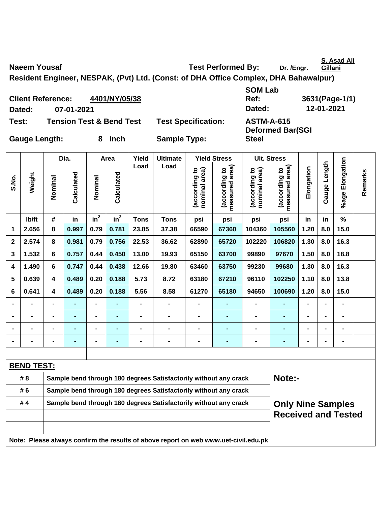**S. Asad Ali Gillani**

**Naeem Yousaf Naeem Yousaf Construction Construction Construction Test Performed By:** Dr. /Engr.

**Resident Engineer, NESPAK, (Pvt) Ltd. (Const: of DHA Office Complex, DHA Bahawalpur)** 

**Client Reference: 4401/NY/05/38 Dated: 07-01-2021 Dated: 12-01-2021 Test: Tension Test & Bend Test Test Specification: ASTM-A-615** 

**SOM Lab Ref: 3631(Page-1/1)** 

**Deformed Bar(SGI** 

**Steel** 

**Gauge Length: 8 inch Sample Type:** 

|              |                   |                         | Dia.           |                | Area       | Yield                                                            | <b>Ultimate</b>                                                                     |                                | <b>Yield Stress</b>                |                                | <b>Ult. Stress</b>              |                |                   |                 |         |
|--------------|-------------------|-------------------------|----------------|----------------|------------|------------------------------------------------------------------|-------------------------------------------------------------------------------------|--------------------------------|------------------------------------|--------------------------------|---------------------------------|----------------|-------------------|-----------------|---------|
| S.No.        | Weight            | Nominal                 | Calculated     | Nominal        | Calculated | Load                                                             | Load                                                                                | (according to<br>nominal area) | area)<br>(according to<br>measured | nominal area)<br>(according to | measured area)<br>(according to | Elongation     | Length<br>Gauge I | %age Elongation | Remarks |
|              | lb/ft             | #                       | in             | $in^2$         | $in^2$     | <b>Tons</b>                                                      | <b>Tons</b>                                                                         | psi                            | psi                                | psi                            | psi                             | in             | in                | %               |         |
| 1            | 2.656             | 8                       | 0.997          | 0.79           | 0.781      | 23.85                                                            | 37.38                                                                               | 66590                          | 67360                              | 104360                         | 105560                          | 1.20           | 8.0               | 15.0            |         |
| $\mathbf{2}$ | 2.574             | 8                       | 0.981          | 0.79           | 0.756      | 22.53                                                            | 36.62                                                                               | 62890                          | 65720                              | 102220                         | 106820                          | 1.30           | 8.0               | 16.3            |         |
| 3            | 1.532             | 6                       | 0.757          | 0.44           | 0.450      | 13.00                                                            | 19.93                                                                               | 65150                          | 63700                              | 99890                          | 97670                           | 1.50           | 8.0               | 18.8            |         |
| 4            | 1.490             | 6                       | 0.747          | 0.44           | 0.438      | 12.66                                                            | 19.80                                                                               | 63460                          | 63750                              | 99230                          | 99680                           | 1.30           | 8.0               | 16.3            |         |
| 5            | 0.639             | $\overline{\mathbf{4}}$ | 0.489          | 0.20           | 0.188      | 5.73                                                             | 8.72                                                                                | 63180                          | 67210                              | 96110                          | 102250                          | 1.10           | 8.0               | 13.8            |         |
| 6            | 0.641             | 4                       | 0.489          | 0.20           | 0.188      | 5.56                                                             | 8.58                                                                                | 61270                          | 65180                              | 94650                          | 100690                          | 1.20           | 8.0               | 15.0            |         |
|              |                   | $\blacksquare$          | $\blacksquare$ | $\blacksquare$ |            | $\blacksquare$                                                   | $\blacksquare$                                                                      | $\blacksquare$                 | $\blacksquare$                     | $\blacksquare$                 | $\blacksquare$                  | $\blacksquare$ |                   | $\blacksquare$  |         |
|              |                   |                         | $\blacksquare$ | $\blacksquare$ |            | $\blacksquare$                                                   | $\blacksquare$                                                                      | $\blacksquare$                 | $\blacksquare$                     |                                | $\blacksquare$                  |                |                   | $\blacksquare$  |         |
|              |                   |                         |                | $\blacksquare$ |            | $\blacksquare$                                                   | $\blacksquare$                                                                      |                                | $\blacksquare$                     |                                | $\blacksquare$                  |                |                   |                 |         |
|              |                   | -                       |                | $\blacksquare$ |            | $\blacksquare$                                                   | $\blacksquare$                                                                      |                                | $\blacksquare$                     |                                | $\blacksquare$                  |                |                   | $\blacksquare$  |         |
|              |                   |                         |                |                |            |                                                                  |                                                                                     |                                |                                    |                                |                                 |                |                   |                 |         |
|              | <b>BEND TEST:</b> |                         |                |                |            |                                                                  |                                                                                     |                                |                                    |                                |                                 |                |                   |                 |         |
|              | # 8               |                         |                |                |            |                                                                  | Sample bend through 180 degrees Satisfactorily without any crack                    |                                |                                    |                                | Note:-                          |                |                   |                 |         |
|              | # 6               |                         |                |                |            | Sample bend through 180 degrees Satisfactorily without any crack |                                                                                     |                                |                                    |                                |                                 |                |                   |                 |         |
|              | #4                |                         |                |                |            |                                                                  | Sample bend through 180 degrees Satisfactorily without any crack                    |                                |                                    |                                | <b>Only Nine Samples</b>        |                |                   |                 |         |
|              |                   |                         |                |                |            |                                                                  |                                                                                     |                                |                                    |                                | <b>Received and Tested</b>      |                |                   |                 |         |
|              |                   |                         |                |                |            |                                                                  | Note: Please always confirm the results of above report on web www.uet-civil.edu.pk |                                |                                    |                                |                                 |                |                   |                 |         |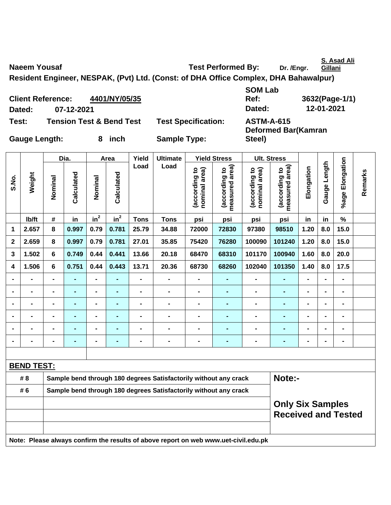**S. Asad Ali Gillani**

Naeem Yousaf **National Contract Performed By:** Dr. /Engr.

**Resident Engineer, NESPAK, (Pvt) Ltd. (Const: of DHA Office Complex, DHA Bahawalpur)** 

**Client Reference: 4401/NY/05/35 Dated: 07-12-2021 Dated: 12-01-2021 Test: Tension Test & Bend Test Test Specification: ASTM-A-615** 

**SOM Lab Ref: 3632(Page-1/1)** 

**Deformed Bar(Kamran** 

**Steel)** 

**Gauge Length: 8 inch Sample Type:** 

|                |                   |                                                                                     | Dia.           |                              | Area           | Yield          | <b>Ultimate</b>                                                  | <b>Yield Stress</b>            |                                 |                                | <b>Ult. Stress</b>              |                |                |                          |         |  |
|----------------|-------------------|-------------------------------------------------------------------------------------|----------------|------------------------------|----------------|----------------|------------------------------------------------------------------|--------------------------------|---------------------------------|--------------------------------|---------------------------------|----------------|----------------|--------------------------|---------|--|
| S.No.          | Weight            | Nominal                                                                             | Calculated     | Nominal                      | Calculated     | Load           | Load                                                             | (according to<br>nominal area) | measured area)<br>(according to | (according to<br>nominal area) | measured area)<br>(according to | Elongation     | Gauge Length   | %age Elongation          | Remarks |  |
|                | lb/ft             | #                                                                                   | in             | in <sup>2</sup>              | $in^2$         | <b>Tons</b>    | <b>Tons</b>                                                      | psi                            | psi                             | psi                            | psi                             | in             | in             | $\%$                     |         |  |
| 1              | 2.657             | 8                                                                                   | 0.997          | 0.79                         | 0.781          | 25.79          | 34.88                                                            | 72000                          | 72830                           | 97380                          | 98510                           | 1.20           | 8.0            | 15.0                     |         |  |
| $\mathbf 2$    | 2.659             | 8                                                                                   | 0.997          | 0.79                         | 0.781          | 27.01          | 35.85                                                            | 75420                          | 76280                           | 100090                         | 101240                          | 1.20           | 8.0            | 15.0                     |         |  |
| 3              | 1.502             | 6                                                                                   | 0.749          | 0.44                         | 0.441          | 13.66          | 20.18                                                            | 68470                          | 68310                           | 101170                         | 100940                          | 1.60           | 8.0            | 20.0                     |         |  |
| 4              | 1.506             | 6                                                                                   | 0.751          | 0.44                         | 0.443          | 13.71          | 20.36                                                            | 68730                          | 68260                           | 102040                         | 101350                          | 1.40           | 8.0            | 17.5                     |         |  |
| $\blacksquare$ |                   | $\blacksquare$                                                                      | $\blacksquare$ | $\blacksquare$               | $\blacksquare$ | $\blacksquare$ | $\blacksquare$                                                   | $\blacksquare$                 | $\blacksquare$                  | $\overline{a}$                 | $\blacksquare$                  | $\blacksquare$ | $\blacksquare$ | $\overline{\phantom{a}}$ |         |  |
| $\blacksquare$ | $\blacksquare$    | $\overline{a}$                                                                      | $\blacksquare$ | $\overline{\phantom{0}}$     | ٠              | $\blacksquare$ | $\blacksquare$                                                   | $\blacksquare$                 | $\blacksquare$                  | $\blacksquare$                 | $\blacksquare$                  | $\blacksquare$ | -              | $\blacksquare$           |         |  |
| $\blacksquare$ | $\blacksquare$    | $\blacksquare$                                                                      | $\blacksquare$ | $\qquad \qquad \blacksquare$ | ٠              | $\blacksquare$ | $\blacksquare$                                                   | $\blacksquare$                 | $\blacksquare$                  | $\blacksquare$                 | ٠                               | $\blacksquare$ |                | $\blacksquare$           |         |  |
|                |                   | $\blacksquare$                                                                      | $\blacksquare$ | $\blacksquare$               | ٠              |                | $\blacksquare$                                                   | $\blacksquare$                 | $\blacksquare$                  |                                | $\blacksquare$                  |                |                | $\blacksquare$           |         |  |
|                |                   |                                                                                     | $\blacksquare$ | $\blacksquare$               |                |                | $\blacksquare$                                                   | $\blacksquare$                 | $\blacksquare$                  |                                | $\blacksquare$                  |                |                |                          |         |  |
| $\blacksquare$ |                   |                                                                                     |                |                              |                |                | $\blacksquare$                                                   | $\blacksquare$                 |                                 |                                | $\blacksquare$                  | $\blacksquare$ |                | $\blacksquare$           |         |  |
|                |                   |                                                                                     |                |                              |                |                |                                                                  |                                |                                 |                                |                                 |                |                |                          |         |  |
|                | <b>BEND TEST:</b> |                                                                                     |                |                              |                |                |                                                                  |                                |                                 |                                |                                 |                |                |                          |         |  |
|                | # 8               |                                                                                     |                |                              |                |                | Sample bend through 180 degrees Satisfactorily without any crack |                                |                                 |                                | Note:-                          |                |                |                          |         |  |
|                | # 6               |                                                                                     |                |                              |                |                | Sample bend through 180 degrees Satisfactorily without any crack |                                |                                 |                                |                                 |                |                |                          |         |  |
|                |                   | <b>Only Six Samples</b><br><b>Received and Tested</b>                               |                |                              |                |                |                                                                  |                                |                                 |                                |                                 |                |                |                          |         |  |
|                |                   | Note: Please always confirm the results of above report on web www.uet-civil.edu.pk |                |                              |                |                |                                                                  |                                |                                 |                                |                                 |                |                |                          |         |  |